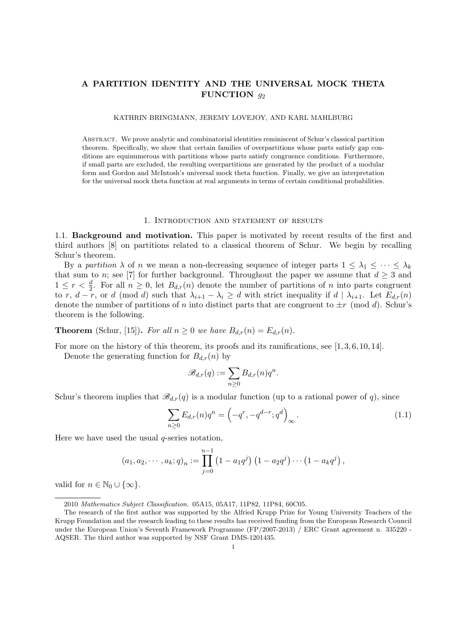# **A PARTITION IDENTITY AND THE UNIVERSAL MOCK THETA FUNCTION** *g*<sup>2</sup>

#### KATHRIN BRINGMANN, JEREMY LOVEJOY, AND KARL MAHLBURG

Abstract. We prove analytic and combinatorial identities reminiscent of Schur's classical partition theorem. Specifically, we show that certain families of overpartitions whose parts satisfy gap conditions are equinumerous with partitions whose parts satisfy congruence conditions. Furthermore, if small parts are excluded, the resulting overpartitions are generated by the product of a modular form and Gordon and McIntosh's universal mock theta function. Finally, we give an interpretation for the universal mock theta function at real arguments in terms of certain conditional probabilities.

### 1. Introduction and statement of results

1.1. **Background and motivation.** This paper is motivated by recent results of the first and third authors [8] on partitions related to a classical theorem of Schur. We begin by recalling Schur's theorem.

By a *partition*  $\lambda$  of *n* we mean a non-decreasing sequence of integer parts  $1 \leq \lambda_1 \leq \cdots \leq \lambda_k$ that sum to *n*; see [7] for further background. Throughout the paper we assume that  $d \geq 3$  and  $1 \leq r < \frac{d}{2}$ . For all  $n \geq 0$ , let  $B_{d,r}(n)$  denote the number of partitions of *n* into parts congruent to r,  $d-r$ , or d (mod d) such that  $\lambda_{i+1} - \lambda_i \geq d$  with strict inequality if  $d \mid \lambda_{i+1}$ . Let  $E_{d,r}(n)$ denote the number of partitions of *n* into distinct parts that are congruent to  $\pm r \pmod{d}$ . Schur's theorem is the following.

**Theorem** (Schur, [15]). For all  $n \geq 0$  we have  $B_{d,r}(n) = E_{d,r}(n)$ .

For more on the history of this theorem, its proofs and its ramifications, see  $[1, 3, 6, 10, 14]$ .

Denote the generating function for  $B_{d,r}(n)$  by

$$
\mathscr{B}_{d,r}(q):=\sum_{n\geq 0}B_{d,r}(n)q^n.
$$

Schur's theorem implies that  $\mathscr{B}_{d,r}(q)$  is a modular function (up to a rational power of *q*), since

$$
\sum_{n\geq 0} E_{d,r}(n)q^n = \left(-q^r, -q^{d-r}; q^d\right)_{\infty}.
$$
\n(1.1)

Here we have used the usual *q*-series notation,

$$
(a_1, a_2, \cdots, a_k; q)_n := \prod_{j=0}^{n-1} (1 - a_1 q^j) (1 - a_2 q^j) \cdots (1 - a_k q^j),
$$

valid for  $n \in \mathbb{N}_0 \cup \{\infty\}.$ 

<sup>2010</sup> *Mathematics Subject Classification.* 05A15, 05A17, 11P82, 11P84, 60C05.

The research of the first author was supported by the Alfried Krupp Prize for Young University Teachers of the Krupp Foundation and the research leading to these results has received funding from the European Research Council under the European Union's Seventh Framework Programme (FP/2007-2013) / ERC Grant agreement n. 335220 - AQSER. The third author was supported by NSF Grant DMS-1201435.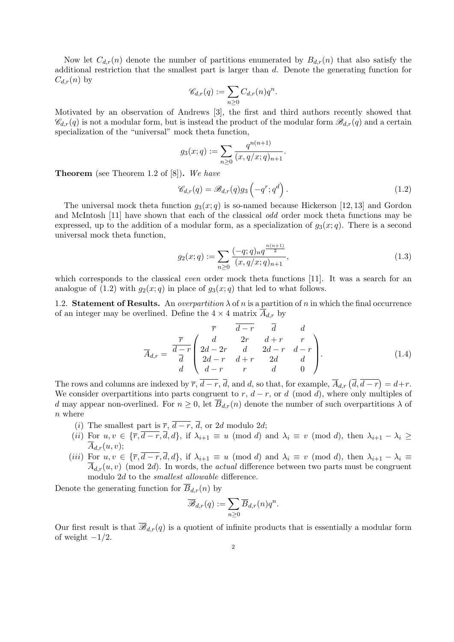Now let  $C_{d,r}(n)$  denote the number of partitions enumerated by  $B_{d,r}(n)$  that also satisfy the additional restriction that the smallest part is larger than *d*. Denote the generating function for  $C_{d,r}(n)$  by

$$
\mathscr{C}_{d,r}(q) := \sum_{n \geq 0} C_{d,r}(n) q^n.
$$

Motivated by an observation of Andrews [3], the first and third authors recently showed that  $\mathscr{C}_{d,r}(q)$  is not a modular form, but is instead the product of the modular form  $\mathscr{B}_{d,r}(q)$  and a certain specialization of the "universal" mock theta function,

$$
g_3(x; q) := \sum_{n \geq 0} \frac{q^{n(n+1)}}{(x, q/x; q)_{n+1}}.
$$

**Theorem** (see Theorem 1.2 of [8])**.** *We have*

$$
\mathscr{C}_{d,r}(q) = \mathscr{B}_{d,r}(q)g_3\left(-q^r; q^d\right). \tag{1.2}
$$

The universal mock theta function  $q_3(x; q)$  is so-named because Hickerson [12, 13] and Gordon and McIntosh [11] have shown that each of the classical *odd* order mock theta functions may be expressed, up to the addition of a modular form, as a specialization of  $g_3(x; q)$ . There is a second universal mock theta function,

$$
g_2(x;q) := \sum_{n\geq 0} \frac{(-q;q)_n q^{\frac{n(n+1)}{2}}}{(x,q/x;q)_{n+1}},\tag{1.3}
$$

which corresponds to the classical *even* order mock theta functions [11]. It was a search for an analogue of  $(1.2)$  with  $g_2(x; q)$  in place of  $g_3(x; q)$  that led to what follows.

1.2. **Statement of Results.** An *overpartition*  $\lambda$  of *n* is a partition of *n* in which the final occurrence of an integer may be overlined. Define the  $4 \times 4$  matrix  $A_{d,r}$  by

$$
\overline{A}_{d,r} = \frac{\overline{r}}{d-r} \begin{pmatrix} \overline{r} & \overline{d-r} & \overline{d} & d \\ d & 2r & d+r & r \\ 2d-2r & d & 2d-r & d-r \\ 2d-r & d+r & 2d & d \\ d-r & r & d & 0 \end{pmatrix} .
$$
\n(1.4)

The rows and columns are indexed by  $\overline{r}$ ,  $\overline{d-r}$ ,  $\overline{d}$ , and  $d$ , so that, for example,  $\overline{A}_{d,r}(\overline{d}, \overline{d-r}) = d+r$ . We consider overpartitions into parts congruent to  $r$ ,  $d - r$ , or  $d \pmod{d}$ , where only multiples of *d* may appear non-overlined. For  $n \geq 0$ , let  $\overline{B}_{d,r}(n)$  denote the number of such overpartitions  $\lambda$  of *n* where

- (*i*) The smallest part is  $\overline{r}$ ,  $\overline{d-r}$ ,  $\overline{d}$ , or 2*d* modulo 2*d*;
- (*ii*) For  $u, v \in \{\overline{r}, \overline{d-r}, \overline{d}, d\}$ , if  $\lambda_{i+1} \equiv u \pmod{d}$  and  $\lambda_i \equiv v \pmod{d}$ , then  $\lambda_{i+1} \lambda_i \ge$  $\overline{A}_{d,r}(u,v);$
- (*iii*) For  $u, v \in {\overline{\tau}}, \overline{d-r}, \overline{d}, d$ , if  $\lambda_{i+1} \equiv u \pmod{d}$  and  $\lambda_i \equiv v \pmod{d}$ , then  $\lambda_{i+1} \lambda_i \equiv$  $\overline{A}_{d,r}(u, v)$  (mod 2*d*). In words, the *actual* difference between two parts must be congruent modulo 2*d* to the *smallest allowable* difference.

Denote the generating function for  $\overline{B}_{d,r}(n)$  by

$$
\overline{\mathscr{B}}_{d,r}(q) := \sum_{n\geq 0} \overline{B}_{d,r}(n) q^n.
$$

Our first result is that  $\overline{\mathscr{B}}_{d,r}(q)$  is a quotient of infinite products that is essentially a modular form of weight *−*1*/*2.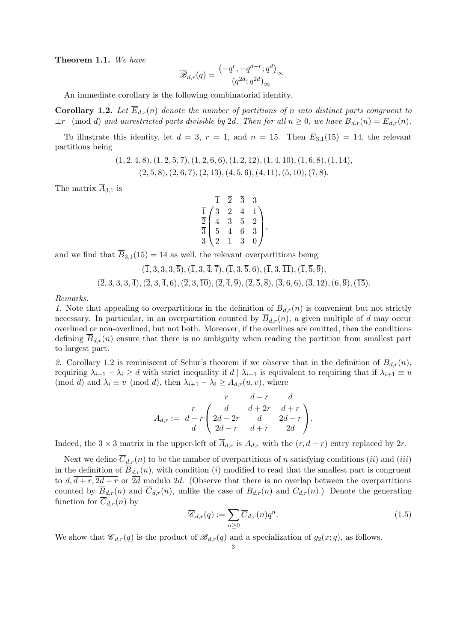**Theorem 1.1.** *We have*

$$
\overline{\mathscr{B}}_{d,r}(q) = \frac{\left(-q^r, -q^{d-r}; q^d\right)_{\infty}}{\left(q^{2d}; q^{2d}\right)_{\infty}}.
$$

An immediate corollary is the following combinatorial identity.

**Corollary 1.2.** Let  $\overline{E}_{d,r}(n)$  denote the number of partitions of *n* into distinct parts congruent to  $\pm r$  (mod *d*) and unrestricted parts divisible by 2*d.* Then for all  $n \geq 0$ , we have  $\overline{B}_{d,r}(n) = \overline{E}_{d,r}(n)$ *.* 

To illustrate this identity, let  $d = 3$ ,  $r = 1$ , and  $n = 15$ . Then  $\overline{E}_{3,1}(15) = 14$ , the relevant partitions being

$$
(1, 2, 4, 8), (1, 2, 5, 7), (1, 2, 6, 6), (1, 2, 12), (1, 4, 10), (1, 6, 8), (1, 14),(2, 5, 8), (2, 6, 7), (2, 13), (4, 5, 6), (4, 11), (5, 10), (7, 8).
$$

The matrix  $\overline{A}_{3,1}$  is

$$
\begin{array}{c}\n\overline{1} & \overline{2} & \overline{3} & 3 \\
\overline{1} & 3 & 2 & 4 & 1 \\
\overline{2} & 4 & 3 & 5 & 2 \\
\overline{3} & 5 & 4 & 6 & 3 \\
3 & 2 & 1 & 3 & 0\n\end{array}
$$

and we find that  $\overline{B}_{3,1}(15) = 14$  as well, the relevant overpartitions being

$$
(\overline{1},3,3,3,\overline{5}), (\overline{1},3,\overline{4},\overline{7}), (\overline{1},3,\overline{5},6), (\overline{1},3,\overline{11}), (\overline{1},\overline{5},\overline{9}),(\overline{2},3,3,3,\overline{4}), (\overline{2},3,\overline{4},6), (\overline{2},3,\overline{10}), (\overline{2},\overline{4},\overline{9}), (\overline{2},\overline{5},\overline{8}), (\overline{3},6,6), (\overline{3},12), (6,\overline{9}), (\overline{15}).
$$

*Remarks.*

*1.* Note that appealing to overpartitions in the definition of  $\overline{B}_{d,r}(n)$  is convenient but not strictly necessary. In particular, in an overpartition counted by  $\overline{B}_{d,r}(n)$ , a given multiple of *d* may occur overlined or non-overlined, but not both. Moreover, if the overlines are omitted, then the conditions defining  $\overline{B}_{d,r}(n)$  ensure that there is no ambiguity when reading the partition from smallest part to largest part.

2. Corollary 1.2 is reminiscent of Schur's theorem if we observe that in the definition of  $B_{d,r}(n)$ , requiring  $\lambda_{i+1} - \lambda_i \geq d$  with strict inequality if  $d | \lambda_{i+1}$  is equivalent to requiring that if  $\lambda_{i+1} \equiv u$ (mod *d*) and  $\lambda_i \equiv v \pmod{d}$ , then  $\lambda_{i+1} - \lambda_i \geq A_{d,r}(u, v)$ , where

$$
A_{d,r} := \begin{array}{cc} & r & d-r & d \\ r & & d+2r & d+r \\ d-r & 2d-r & d & 2d-r \\ d & 2d-r & d+r & 2d \end{array}.
$$

Indeed, the 3 × 3 matrix in the upper-left of  $\overline{A}_{d,r}$  is  $A_{d,r}$  with the  $(r, d-r)$  entry replaced by 2*r*.

Next we define  $\overline{C}_{d,r}(n)$  to be the number of overpartitions of *n* satisfying conditions *(ii)* and *(iii)* in the definition of  $\overline{B}_{d,r}(n)$ , with condition (*i*) modified to read that the smallest part is congruent to  $d, \overline{d+r}, \overline{2d-r}$  or  $\overline{2d}$  modulo 2*d*. (Observe that there is no overlap between the overpartitions counted by  $\overline{B}_{d,r}(n)$  and  $\overline{C}_{d,r}(n)$ , unlike the case of  $B_{d,r}(n)$  and  $C_{d,r}(n)$ .) Denote the generating function for  $\overline{C}_{d,r}(n)$  by

$$
\overline{\mathcal{C}}_{d,r}(q) := \sum_{n\geq 0} \overline{C}_{d,r}(n) q^n.
$$
\n(1.5)

We show that  $\overline{\mathscr{C}}_{d,r}(q)$  is the product of  $\overline{\mathscr{B}}_{d,r}(q)$  and a specialization of  $g_2(x; q)$ , as follows.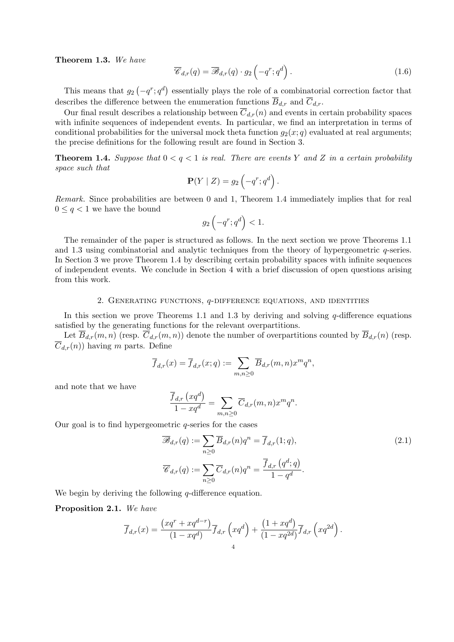**Theorem 1.3.** *We have*

$$
\overline{\mathscr{C}}_{d,r}(q) = \overline{\mathscr{B}}_{d,r}(q) \cdot g_2\left(-q^r; q^d\right). \tag{1.6}
$$

This means that  $g_2(-q^r; q^d)$  essentially plays the role of a combinatorial correction factor that describes the difference between the enumeration functions  $\overline{B}_{d,r}$  and  $\overline{C}_{d,r}$ .

Our final result describes a relationship between  $\overline{C}_{d,r}(n)$  and events in certain probability spaces with infinite sequences of independent events. In particular, we find an interpretation in terms of conditional probabilities for the universal mock theta function  $g_2(x; q)$  evaluated at real arguments; the precise definitions for the following result are found in Section 3.

**Theorem 1.4.** Suppose that  $0 < q < 1$  is real. There are events Y and Z in a certain probability *space such that*

$$
\mathbf{P}(Y | Z) = g_2\left(-q^r; q^d\right).
$$

*Remark.* Since probabilities are between 0 and 1, Theorem 1.4 immediately implies that for real  $0 \leq q < 1$  we have the bound

$$
g_2\left(-q^r;q^d\right)<1.
$$

The remainder of the paper is structured as follows. In the next section we prove Theorems 1.1 and 1.3 using combinatorial and analytic techniques from the theory of hypergeometric *q*-series. In Section 3 we prove Theorem 1.4 by describing certain probability spaces with infinite sequences of independent events. We conclude in Section 4 with a brief discussion of open questions arising from this work.

### 2. Generating functions, *q*-difference equations, and identities

In this section we prove Theorems 1.1 and 1.3 by deriving and solving *q*-difference equations satisfied by the generating functions for the relevant overpartitions.

Let  $\overline{B}_{d,r}(m,n)$  (resp.  $\overline{C}_{d,r}(m,n)$ ) denote the number of overpartitions counted by  $\overline{B}_{d,r}(n)$  (resp.  $\overline{C}_{d,r}(n)$  having *m* parts. Define

$$
\overline{f}_{d,r}(x) = \overline{f}_{d,r}(x;q) := \sum_{m,n \geq 0} \overline{B}_{d,r}(m,n)x^m q^n,
$$

and note that we have

$$
\frac{\overline{f}_{d,r}(xq^d)}{1-xq^d} = \sum_{m,n\geq 0} \overline{C}_{d,r}(m,n)x^m q^n.
$$

Our goal is to find hypergeometric *q*-series for the cases

$$
\overline{\mathcal{B}}_{d,r}(q) := \sum_{n\geq 0} \overline{B}_{d,r}(n) q^n = \overline{f}_{d,r}(1;q),
$$
\n
$$
\overline{\mathcal{C}}_{d,r}(q) := \sum_{n\geq 0} \overline{C}_{d,r}(n) q^n = \frac{\overline{f}_{d,r}(q^d;q)}{1-q^d}.
$$
\n(2.1)

We begin by deriving the following *q*-difference equation.

### **Proposition 2.1.** *We have*

$$
\overline{f}_{d,r}(x) = \frac{(xq^r + xq^{d-r})}{(1 - xq^d)} \overline{f}_{d,r}\left(xq^d\right) + \frac{(1 + xq^d)}{(1 - xq^{2d})} \overline{f}_{d,r}\left(xq^{2d}\right).
$$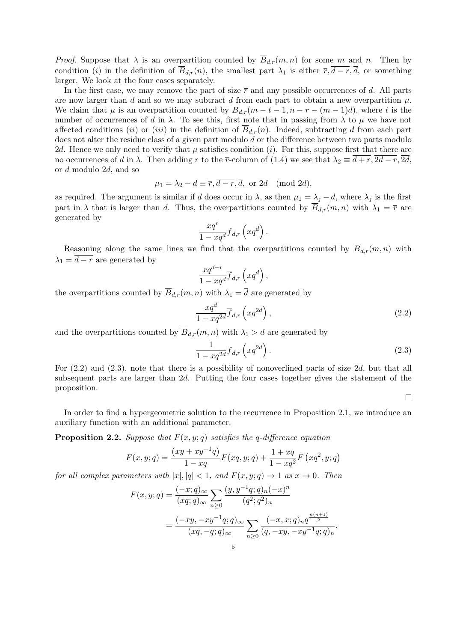*Proof.* Suppose that  $\lambda$  is an overpartition counted by  $\overline{B}_{d,r}(m,n)$  for some *m* and *n*. Then by condition (*i*) in the definition of  $\overline{B}_{d,r}(n)$ , the smallest part  $\lambda_1$  is either  $\overline{r}, \overline{d-r}, \overline{d}$ , or something larger. We look at the four cases separately.

In the first case, we may remove the part of size  $\bar{r}$  and any possible occurrences of *d*. All parts are now larger than *d* and so we may subtract *d* from each part to obtain a new overpartition  $\mu$ . We claim that  $\mu$  is an overpartition counted by  $\overline{B}_{d,r}(m-t-1,n-r-(m-1)d)$ , where *t* is the number of occurrences of *d* in  $\lambda$ . To see this, first note that in passing from  $\lambda$  to  $\mu$  we have not affected conditions *(ii)* or *(iii)* in the definition of  $B_{d,r}(n)$ . Indeed, subtracting *d* from each part does not alter the residue class of a given part modulo *d* or the difference between two parts modulo 2*d*. Hence we only need to verify that  $\mu$  satisfies condition (*i*). For this, suppose first that there are no occurrences of *d* in  $\lambda$ . Then adding *r* to the  $\bar{r}$ -column of (1.4) we see that  $\lambda_2 \equiv \overline{d+r}$ ,  $\overline{2d-r}$ ,  $\overline{2d}$ , or *d* modulo 2*d*, and so

$$
\mu_1 = \lambda_2 - d \equiv \overline{r}, \overline{d-r}, \overline{d}, \text{ or } 2d \pmod{2d},
$$

as required. The argument is similar if *d* does occur in  $\lambda$ , as then  $\mu_1 = \lambda_j - d$ , where  $\lambda_j$  is the first part in  $\lambda$  that is larger than *d*. Thus, the overpartitions counted by  $\overline{B}_{d,r}(m,n)$  with  $\lambda_1 = \overline{r}$  are generated by

$$
\frac{xq^r}{1-xq^d}\overline{f}_{d,r}\left(xq^d\right).
$$

Reasoning along the same lines we find that the overpartitions counted by  $\overline{B}_{d,r}(m,n)$  with  $\lambda_1 = \overline{d-r}$  are generated by

$$
\frac{xq^{d-r}}{1-xq^d}\overline{f}_{d,r}\left(xq^d\right),\,
$$

the overpartitions counted by  $\overline{B}_{d,r}(m,n)$  with  $\lambda_1 = \overline{d}$  are generated by

$$
\frac{xq^d}{1-xq^{2d}}\overline{f}_{d,r}\left(xq^{2d}\right),\tag{2.2}
$$

and the overpartitions counted by  $\overline{B}_{d,r}(m,n)$  with  $\lambda_1 > d$  are generated by

$$
\frac{1}{1 - xq^{2d}} \overline{f}_{d,r} \left( xq^{2d} \right). \tag{2.3}
$$

For (2.2) and (2.3), note that there is a possibility of nonoverlined parts of size 2*d*, but that all subsequent parts are larger than 2*d*. Putting the four cases together gives the statement of the proposition.

 $\Box$ 

In order to find a hypergeometric solution to the recurrence in Proposition 2.1, we introduce an auxiliary function with an additional parameter.

**Proposition 2.2.** *Suppose that*  $F(x, y; q)$  *satisfies the q-difference equation* 

$$
F(x, y; q) = \frac{(xy + xy^{-1}q)}{1 - xq} F(xq, y; q) + \frac{1 + xq}{1 - xq^{2}} F(xq^{2}, y; q)
$$

*for all complex parameters with*  $|x|, |q| < 1$ , and  $F(x, y; q) \rightarrow 1$  as  $x \rightarrow 0$ . Then

$$
F(x, y; q) = \frac{(-x; q)_{\infty}}{(xq; q)_{\infty}} \sum_{n \ge 0} \frac{(y, y^{-1}q; q)_n (-x)^n}{(q^2; q^2)_n}
$$
  
= 
$$
\frac{(-xy, -xy^{-1}q; q)_{\infty}}{(xq, -q; q)_{\infty}} \sum_{n \ge 0} \frac{(-x, x; q)_n q^{\frac{n(n+1)}{2}}}{(q, -xy, -xy^{-1}q; q)_n}.
$$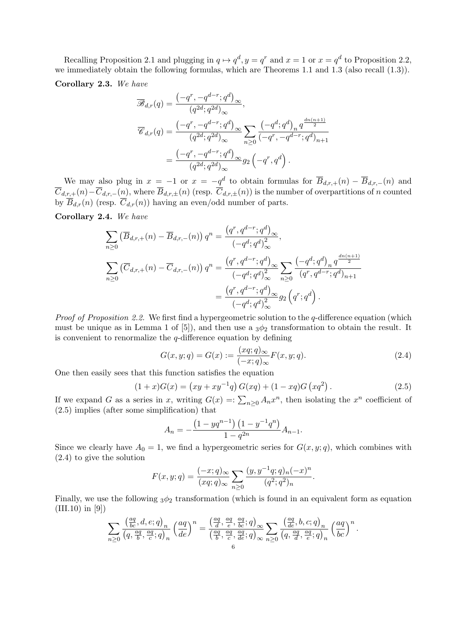Recalling Proposition 2.1 and plugging in  $q \mapsto q^d, y = q^r$  and  $x = 1$  or  $x = q^d$  to Proposition 2.2, we immediately obtain the following formulas, which are Theorems 1.1 and 1.3 (also recall (1.3)).

**Corollary 2.3.** *We have*

$$
\overline{\mathscr{B}}_{d,r}(q) = \frac{\left(-q^r, -q^{d-r}; q^d\right)_{\infty}}{\left(q^{2d}; q^{2d}\right)_{\infty}},
$$
\n
$$
\overline{\mathscr{C}}_{d,r}(q) = \frac{\left(-q^r, -q^{d-r}; q^d\right)_{\infty}}{\left(q^{2d}; q^{2d}\right)_{\infty}} \sum_{n\geq 0} \frac{\left(-q^d; q^d\right)_n q^{\frac{dn(n+1)}{2}}}{\left(-q^r, -q^{d-r}; q^d\right)_{n+1}}
$$
\n
$$
= \frac{\left(-q^r, -q^{d-r}; q^d\right)_{\infty}}{\left(q^{2d}; q^{2d}\right)_{\infty}} q_2 \left(-q^r, q^d\right).
$$

We may also plug in  $x = -1$  or  $x = -\underline{q}^d$  to obtain formulas for  $\overline{B}_{d,r,+}(n) - \overline{B}_{d,r,-}(n)$  and  $\overline{C}_{d,r,+}(n) - \overline{C}_{d,r,-}(n)$ , where  $\overline{B}_{d,r,\pm}(n)$  (resp.  $\overline{C}_{d,r,\pm}(n)$ ) is the number of overpartitions of *n* counted by  $\overline{B}_{d,r}(n)$  (resp.  $\overline{C}_{d,r}(n)$ ) having an even/odd number of parts.

**Corollary 2.4.** *We have*

$$
\sum_{n\geq 0} \left(\overline{B}_{d,r,+}(n) - \overline{B}_{d,r,-}(n)\right) q^n = \frac{\left(q^r, q^{d-r}; q^d\right)_{\infty}}{\left(-q^d; q^d\right)_{\infty}^2},
$$
\n
$$
\sum_{n\geq 0} \left(\overline{C}_{d,r,+}(n) - \overline{C}_{d,r,-}(n)\right) q^n = \frac{\left(q^r, q^{d-r}; q^d\right)_{\infty}}{\left(-q^d; q^d\right)_{\infty}^2} \sum_{n\geq 0} \frac{\left(-q^d; q^d\right)_n q^{\frac{dn(n+1)}{2}}}{\left(q^r, q^{d-r}; q^d\right)_{n+1}}
$$
\n
$$
= \frac{\left(q^r, q^{d-r}; q^d\right)_{\infty}}{\left(-q^d; q^d\right)_{\infty}^2} g_2\left(q^r; q^d\right).
$$

*Proof of Proposition 2.2.* We first find a hypergeometric solution to the *q*-difference equation (which must be unique as in Lemma 1 of  $[5]$ , and then use a  $3\phi_2$  transformation to obtain the result. It is convenient to renormalize the *q*-difference equation by defining

$$
G(x, y; q) = G(x) := \frac{(xq; q)_{\infty}}{(-x; q)_{\infty}} F(x, y; q).
$$
\n(2.4)

One then easily sees that this function satisfies the equation

$$
(1+x)G(x) = (xy + xy^{-1}q)G(xq) + (1-xq)G(xq^{2}).
$$
\n(2.5)

If we expand *G* as a series in *x*, writing  $G(x) =: \sum_{n\geq 0} A_n x^n$ , then isolating the  $x^n$  coefficient of (2.5) implies (after some simplification) that

$$
A_n = -\frac{\left(1 - yq^{n-1}\right)\left(1 - y^{-1}q^n\right)}{1 - q^{2n}} A_{n-1}.
$$

Since we clearly have  $A_0 = 1$ , we find a hypergeometric series for  $G(x, y; q)$ , which combines with (2.4) to give the solution

$$
F(x, y; q) = \frac{(-x; q)_{\infty}}{(xq; q)_{\infty}} \sum_{n \ge 0} \frac{(y, y^{-1}q; q)_n (-x)^n}{(q^2; q^2)_n}.
$$

Finally, we use the following <sup>3</sup>*ϕ*<sup>2</sup> transformation (which is found in an equivalent form as equation  $(III.10)$  in [9])

$$
\sum_{n\geq 0}\frac{\left(\frac{aq}{bc},d,e;q\right)_n}{\left(q,\frac{aq}{b},\frac{aq}{c};q\right)_n}\left(\frac{aq}{de}\right)^n = \frac{\left(\frac{aq}{d},\frac{aq}{e},\frac{aq}{bc};q\right)_{\infty}}{\left(\frac{aq}{b},\frac{aq}{c},\frac{aq}{de};q\right)_{\infty}}\sum_{n\geq 0}\frac{\left(\frac{aq}{de},b,c;q\right)_n}{\left(q,\frac{aq}{d},\frac{aq}{e};q\right)_n}\left(\frac{aq}{bc}\right)^n.
$$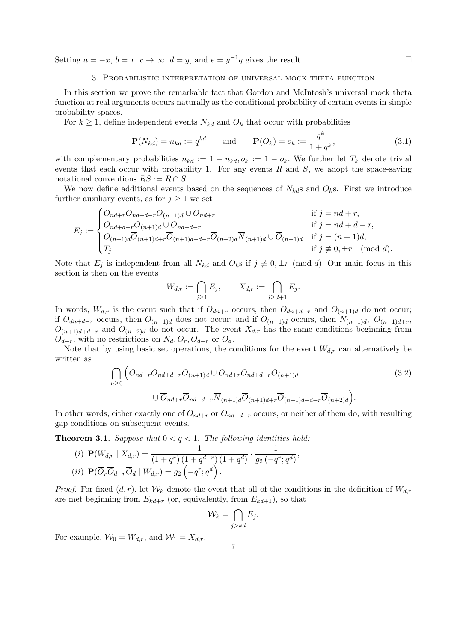Setting  $a = -x$ ,  $b = x$ ,  $c \to \infty$ ,  $d = y$ , and  $e = y^{-1}q$  gives the result. □

### 3. Probabilistic interpretation of universal mock theta function

In this section we prove the remarkable fact that Gordon and McIntosh's universal mock theta function at real arguments occurs naturally as the conditional probability of certain events in simple probability spaces.

For  $k \geq 1$ , define independent events  $N_{kd}$  and  $O_k$  that occur with probabilities

$$
\mathbf{P}(N_{kd}) = n_{kd} := q^{kd} \quad \text{and} \quad \mathbf{P}(O_k) = o_k := \frac{q^k}{1 + q^k}, \tag{3.1}
$$

with complementary probabilities  $\overline{n}_{kd} := 1 - n_{kd}, \overline{o}_k := 1 - o_k$ . We further let  $T_k$  denote trivial events that each occur with probability 1. For any events *R* and *S*, we adopt the space-saving notational conventions  $RS := R \cap S$ .

We now define additional events based on the sequences of  $N_{kd}$ s and  $O_k$ s. First we introduce further auxiliary events, as for  $j \geq 1$  we set

$$
E_j := \begin{cases} O_{nd+r}\overline{O}_{nd+d-r}\overline{O}_{(n+1)d} \cup \overline{O}_{nd+r} & \text{if } j = nd+r, \\ O_{nd+d-r}\overline{O}_{(n+1)d} \cup \overline{O}_{nd+d-r} & \text{if } j = nd+d-r, \\ O_{(n+1)d}\overline{O}_{(n+1)d+r}\overline{O}_{(n+1)d+d-r}\overline{O}_{(n+2)d}\overline{N}_{(n+1)d} \cup \overline{O}_{(n+1)d} & \text{if } j = (n+1)d, \\ T_j & \text{if } j \not\equiv 0, \pm r \pmod{d}. \end{cases}
$$

Note that  $E_i$  is independent from all  $N_{kd}$  and  $O_k$ s if  $j \neq 0, \pm r \pmod{d}$ . Our main focus in this section is then on the events

$$
W_{d,r} := \bigcap_{j\geq 1} E_j, \qquad X_{d,r} := \bigcap_{j\geq d+1} E_j.
$$

In words,  $W_{d,r}$  is the event such that if  $O_{dn+r}$  occurs, then  $O_{dn+d-r}$  and  $O_{(n+1)d}$  do not occur; if  $O_{dn+d-r}$  occurs, then  $O_{(n+1)d}$  does not occur; and if  $O_{(n+1)d}$  occurs, then  $N_{(n+1)d}$ ,  $O_{(n+1)d+r}$ ,  $O_{(n+1)d+d-r}$  and  $O_{(n+2)d}$  do not occur. The event  $X_{d,r}$  has the same conditions beginning from  $O_{d+r}$ , with no restrictions on  $N_d$ ,  $O_r$ ,  $O_{d-r}$  or  $O_d$ .

Note that by using basic set operations, the conditions for the event  $W_{d,r}$  can alternatively be written as

$$
\bigcap_{n\geq 0} \left( O_{nd+r}\overline{O}_{nd+d-r}\overline{O}_{(n+1)d} \cup \overline{O}_{nd+r}O_{nd+d-r}\overline{O}_{(n+1)d} \right)
$$
\n
$$
\cup \overline{O}_{nd+r}\overline{O}_{nd+d-r}\overline{N}_{(n+1)d}\overline{O}_{(n+1)d+r}\overline{O}_{(n+1)d+d-r}\overline{O}_{(n+2)d} \right).
$$
\n(3.2)

In other words, either exactly one of  $O_{nd+r}$  or  $O_{nd+d-r}$  occurs, or neither of them do, with resulting gap conditions on subsequent events.

**Theorem 3.1.** *Suppose that*  $0 < q < 1$ *. The following identities hold:* 

(i) 
$$
\mathbf{P}(W_{d,r} | X_{d,r}) = \frac{1}{(1+q^r) (1+q^{d-r}) (1+q^d)} \cdot \frac{1}{g_2(-q^r; q^d)},
$$
  
(ii)  $\mathbf{P}(\overline{O}_r \overline{O}_{d-r} \overline{O}_d | W_{d,r}) = g_2(-q^r; q^d).$ 

*Proof.* For fixed  $(d, r)$ , let  $W_k$  denote the event that all of the conditions in the definition of  $W_{d,r}$ are met beginning from  $E_{kd+r}$  (or, equivalently, from  $E_{kd+1}$ ), so that

$$
\mathcal{W}_k = \bigcap_{j > kd} E_j.
$$

For example,  $W_0 = W_{d,r}$ , and  $W_1 = X_{d,r}$ .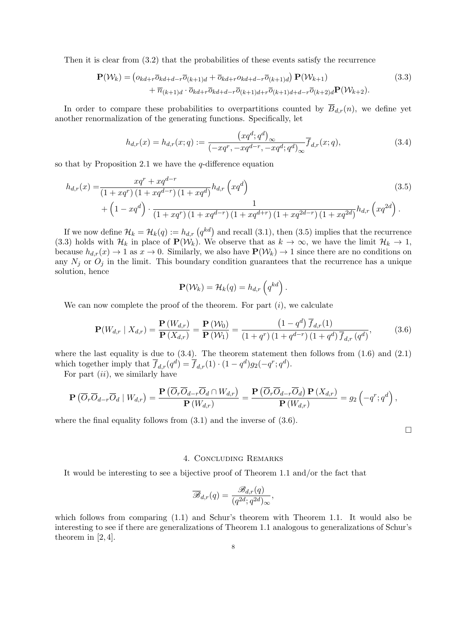Then it is clear from (3.2) that the probabilities of these events satisfy the recurrence

$$
\mathbf{P}(\mathcal{W}_k) = \left( o_{kd+r} \overline{o}_{kd+d-r} \overline{o}_{(k+1)d} + \overline{o}_{kd+r} o_{kd+d-r} \overline{o}_{(k+1)d} \right) \mathbf{P}(\mathcal{W}_{k+1}) + \overline{n}_{(k+1)d} \cdot \overline{o}_{kd+r} \overline{o}_{kd+d-r} \overline{o}_{(k+1)d+r} \overline{o}_{(k+1)d+d-r} \overline{o}_{(k+2)d} \mathbf{P}(\mathcal{W}_{k+2}).
$$
\n(3.3)

In order to compare these probabilities to overpartitions counted by  $\overline{B}_{d,r}(n)$ , we define yet another renormalization of the generating functions. Specifically, let

$$
h_{d,r}(x) = h_{d,r}(x;q) := \frac{(xq^d;q^d)_{\infty}}{(-xq^r,-xq^{d-r},-xq^d;q^d)_{\infty}} \overline{f}_{d,r}(x;q),
$$
\n(3.4)

so that by Proposition 2.1 we have the *q*-difference equation

$$
h_{d,r}(x) = \frac{xq^r + xq^{d-r}}{(1+xq^r)(1+xq^{d-r})(1+xq^d)} h_{d,r}\left(xq^d\right)
$$
  
+ 
$$
\left(1 - xq^d\right) \cdot \frac{1}{(1+xq^r)(1+xq^{d-r})(1+xq^{d+r})(1+xq^{2d-r})(1+xq^{2d})} h_{d,r}\left(xq^{2d}\right).
$$
\n(3.5)

If we now define  $\mathcal{H}_k = \mathcal{H}_k(q) := h_{d,r}(q^{kd})$  and recall (3.1), then (3.5) implies that the recurrence (3.3) holds with  $\mathcal{H}_k$  in place of  $\mathbf{P}(\mathcal{W}_k)$ . We observe that as  $k \to \infty$ , we have the limit  $\mathcal{H}_k \to 1$ , because  $h_{d,r}(x) \to 1$  as  $x \to 0$ . Similarly, we also have  $\mathbf{P}(\mathcal{W}_k) \to 1$  since there are no conditions on any  $N_i$  or  $O_i$  in the limit. This boundary condition guarantees that the recurrence has a unique solution, hence

$$
\mathbf{P}(\mathcal{W}_k) = \mathcal{H}_k(q) = h_{d,r}\left(q^{kd}\right).
$$

We can now complete the proof of the theorem. For part (*i*), we calculate

$$
\mathbf{P}(W_{d,r} \mid X_{d,r}) = \frac{\mathbf{P}(W_{d,r})}{\mathbf{P}(X_{d,r})} = \frac{\mathbf{P}(W_0)}{\mathbf{P}(W_1)} = \frac{\left(1 - q^d\right) \overline{f}_{d,r}(1)}{\left(1 + q^r\right) \left(1 + q^{d-r}\right) \left(1 + q^d\right) \overline{f}_{d,r}\left(q^d\right)},\tag{3.6}
$$

where the last equality is due to  $(3.4)$ . The theorem statement then follows from  $(1.6)$  and  $(2.1)$ which together imply that  $\overline{f}_{d,r}(q^d) = \overline{f}_{d,r}(1) \cdot (1 - q^d)g_2(-q^r; q^d)$ .

For part (*ii*), we similarly have

$$
\mathbf{P}\left(\overline{O}_r\overline{O}_{d-r}\overline{O}_d\mid W_{d,r}\right)=\frac{\mathbf{P}\left(\overline{O}_r\overline{O}_{d-r}\overline{O}_d\cap W_{d,r}\right)}{\mathbf{P}\left(W_{d,r}\right)}=\frac{\mathbf{P}\left(\overline{O}_r\overline{O}_{d-r}\overline{O}_d\right)\mathbf{P}\left(X_{d,r}\right)}{\mathbf{P}\left(W_{d,r}\right)}=g_2\left(-q^r;q^d\right),
$$

where the final equality follows from  $(3.1)$  and the inverse of  $(3.6)$ .

 $\Box$ 

## 4. Concluding Remarks

It would be interesting to see a bijective proof of Theorem 1.1 and/or the fact that

$$
\overline{\mathscr{B}}_{d,r}(q) = \frac{\mathscr{B}_{d,r}(q)}{(q^{2d};q^{2d})_{\infty}},
$$

which follows from comparing  $(1.1)$  and Schur's theorem with Theorem 1.1. It would also be interesting to see if there are generalizations of Theorem 1.1 analogous to generalizations of Schur's theorem in [2, 4].